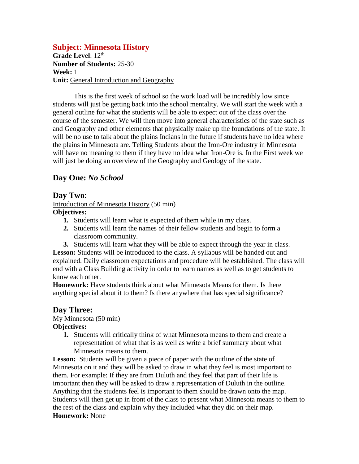# **Subject: Minnesota History**

Grade Level: 12<sup>th</sup> **Number of Students:** 25-30 **Week:** 1 **Unit:** General Introduction and Geography

This is the first week of school so the work load will be incredibly low since students will just be getting back into the school mentality. We will start the week with a general outline for what the students will be able to expect out of the class over the course of the semester. We will then move into general characteristics of the state such as and Geography and other elements that physically make up the foundations of the state. It will be no use to talk about the plains Indians in the future if students have no idea where the plains in Minnesota are. Telling Students about the Iron-Ore industry in Minnesota will have no meaning to them if they have no idea what Iron-Ore is. In the First week we will just be doing an overview of the Geography and Geology of the state.

# **Day One:** *No School*

## **Day Two**:

Introduction of Minnesota History (50 min)

# **Objectives:**

- **1.** Students will learn what is expected of them while in my class.
- **2.** Students will learn the names of their fellow students and begin to form a classroom community.
- **3.** Students will learn what they will be able to expect through the year in class.

**Lesson:** Students will be introduced to the class. A syllabus will be handed out and explained. Daily classroom expectations and procedure will be established. The class will end with a Class Building activity in order to learn names as well as to get students to know each other.

**Homework:** Have students think about what Minnesota Means for them. Is there anything special about it to them? Is there anywhere that has special significance?

## **Day Three:**

#### My Minnesota (50 min)

## **Objectives:**

**1.** Students will critically think of what Minnesota means to them and create a representation of what that is as well as write a brief summary about what Minnesota means to them.

Lesson: Students will be given a piece of paper with the outline of the state of Minnesota on it and they will be asked to draw in what they feel is most important to them. For example: If they are from Duluth and they feel that part of their life is important then they will be asked to draw a representation of Duluth in the outline. Anything that the students feel is important to them should be drawn onto the map. Students will then get up in front of the class to present what Minnesota means to them to the rest of the class and explain why they included what they did on their map. **Homework:** None